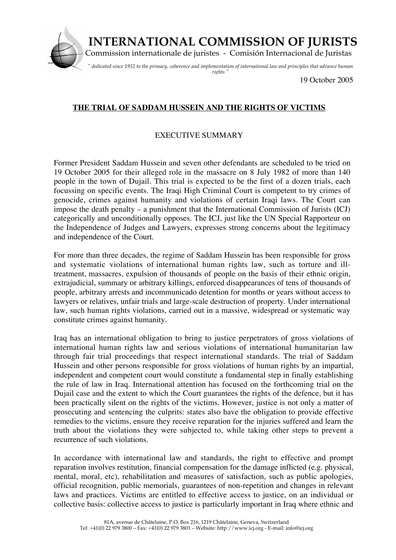

19 October 2005

## **THE TRIAL OF SADDAM HUSSEIN AND THE RIGHTS OF VICTIMS**

## EXECUTIVE SUMMARY

Former President Saddam Hussein and seven other defendants are scheduled to be tried on 19 October 2005 for their alleged role in the massacre on 8 July 1982 of more than 140 people in the town of Dujail. This trial is expected to be the first of a dozen trials, each focussing on specific events. The Iraqi High Criminal Court is competent to try crimes of genocide, crimes against humanity and violations of certain Iraqi laws. The Court can impose the death penalty – a punishment that the International Commission of Jurists (ICJ) categorically and unconditionally opposes. The ICJ, just like the UN Special Rapporteur on the Independence of Judges and Lawyers, expresses strong concerns about the legitimacy and independence of the Court.

For more than three decades, the regime of Saddam Hussein has been responsible for gross and systematic violations of international human rights law, such as torture and illtreatment, massacres, expulsion of thousands of people on the basis of their ethnic origin, extrajudicial, summary or arbitrary killings, enforced disappearances of tens of thousands of people, arbitrary arrests and incommunicado detention for months or years without access to lawyers or relatives, unfair trials and large-scale destruction of property. Under international law, such human rights violations, carried out in a massive, widespread or systematic way constitute crimes against humanity.

Iraq has an international obligation to bring to justice perpetrators of gross violations of international human rights law and serious violations of international humanitarian law through fair trial proceedings that respect international standards. The trial of Saddam Hussein and other persons responsible for gross violations of human rights by an impartial, independent and competent court would constitute a fundamental step in finally establishing the rule of law in Iraq. International attention has focused on the forthcoming trial on the Dujail case and the extent to which the Court guarantees the rights of the defence, but it has been practically silent on the rights of the victims. However, justice is not only a matter of prosecuting and sentencing the culprits: states also have the obligation to provide effective remedies to the victims, ensure they receive reparation for the injuries suffered and learn the truth about the violations they were subjected to, while taking other steps to prevent a recurrence of such violations.

In accordance with international law and standards, the right to effective and prompt reparation involves restitution, financial compensation for the damage inflicted (e.g. physical, mental, moral, etc), rehabilitation and measures of satisfaction, such as public apologies, official recognition, public memorials, guarantees of non-repetition and changes in relevant laws and practices. Victims are entitled to effective access to justice, on an individual or collective basis: collective access to justice is particularly important in Iraq where ethnic and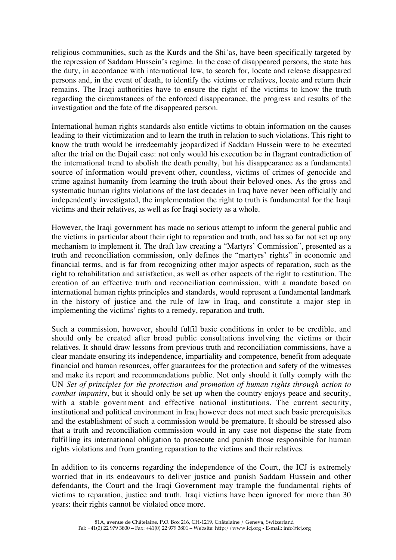religious communities, such as the Kurds and the Shi'as, have been specifically targeted by the repression of Saddam Hussein's regime. In the case of disappeared persons, the state has the duty, in accordance with international law, to search for, locate and release disappeared persons and, in the event of death, to identify the victims or relatives, locate and return their remains. The Iraqi authorities have to ensure the right of the victims to know the truth regarding the circumstances of the enforced disappearance, the progress and results of the investigation and the fate of the disappeared person.

International human rights standards also entitle victims to obtain information on the causes leading to their victimization and to learn the truth in relation to such violations. This right to know the truth would be irredeemably jeopardized if Saddam Hussein were to be executed after the trial on the Dujail case: not only would his execution be in flagrant contradiction of the international trend to abolish the death penalty, but his disappearance as a fundamental source of information would prevent other, countless, victims of crimes of genocide and crime against humanity from learning the truth about their beloved ones. As the gross and systematic human rights violations of the last decades in Iraq have never been officially and independently investigated, the implementation the right to truth is fundamental for the Iraqi victims and their relatives, as well as for Iraqi society as a whole.

However, the Iraqi government has made no serious attempt to inform the general public and the victims in particular about their right to reparation and truth, and has so far not set up any mechanism to implement it. The draft law creating a "Martyrs' Commission", presented as a truth and reconciliation commission, only defines the "martyrs' rights" in economic and financial terms, and is far from recognizing other major aspects of reparation, such as the right to rehabilitation and satisfaction, as well as other aspects of the right to restitution. The creation of an effective truth and reconciliation commission, with a mandate based on international human rights principles and standards, would represent a fundamental landmark in the history of justice and the rule of law in Iraq, and constitute a major step in implementing the victims' rights to a remedy, reparation and truth.

Such a commission, however, should fulfil basic conditions in order to be credible, and should only be created after broad public consultations involving the victims or their relatives. It should draw lessons from previous truth and reconciliation commissions, have a clear mandate ensuring its independence, impartiality and competence, benefit from adequate financial and human resources, offer guarantees for the protection and safety of the witnesses and make its report and recommendations public. Not only should it fully comply with the UN *Set of principles for the protection and promotion of human rights through action to combat impunity*, but it should only be set up when the country enjoys peace and security, with a stable government and effective national institutions. The current security, institutional and political environment in Iraq however does not meet such basic prerequisites and the establishment of such a commission would be premature. It should be stressed also that a truth and reconciliation commission would in any case not dispense the state from fulfilling its international obligation to prosecute and punish those responsible for human rights violations and from granting reparation to the victims and their relatives.

In addition to its concerns regarding the independence of the Court, the ICJ is extremely worried that in its endeavours to deliver justice and punish Saddam Hussein and other defendants, the Court and the Iraqi Government may trample the fundamental rights of victims to reparation, justice and truth. Iraqi victims have been ignored for more than 30 years: their rights cannot be violated once more.